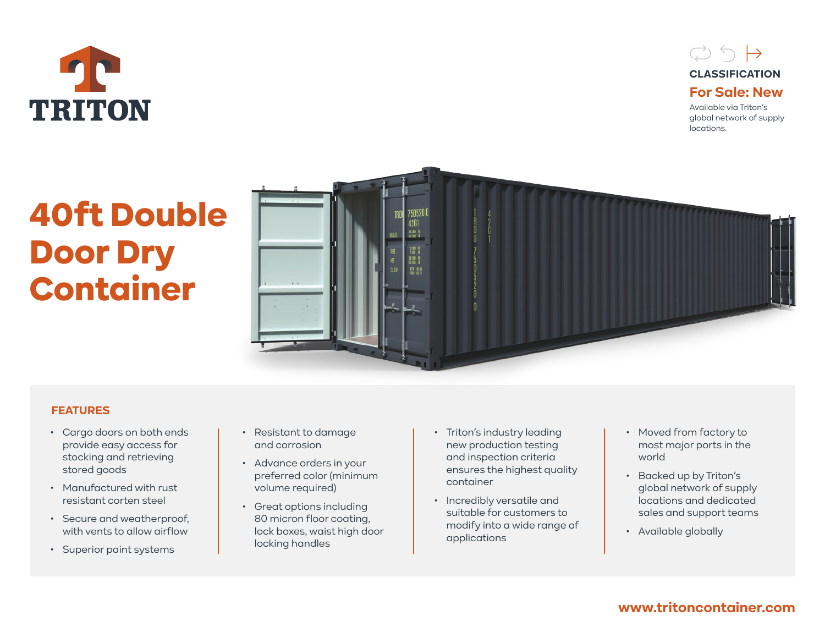



Available via Triton's global network of supply locations.

# 40ft Double Door Dry Container



## **FEATURES**

- Cargo doors on both ends provide easy access for stocking and retrieving stored goods
- Manufactured with rust resistant corten steel
- Secure and weatherproof, with vents to allow airflow
- Superior paint systems
- Resistant to damage and corrosion
- Advance orders in your preferred color (minimum volume required)
- Great options including 80 micron floor coating, lock boxes, waist high door locking handles
- Triton's industry leading new production testing and inspection criteria ensures the highest quality container
- Incredibly versatile and suitable for customers to modify into a wide range of applications
- Moved from factory to most major ports in the world
- Backed up by Triton's global network of supply locations and dedicated sales and support teams
- Available globally